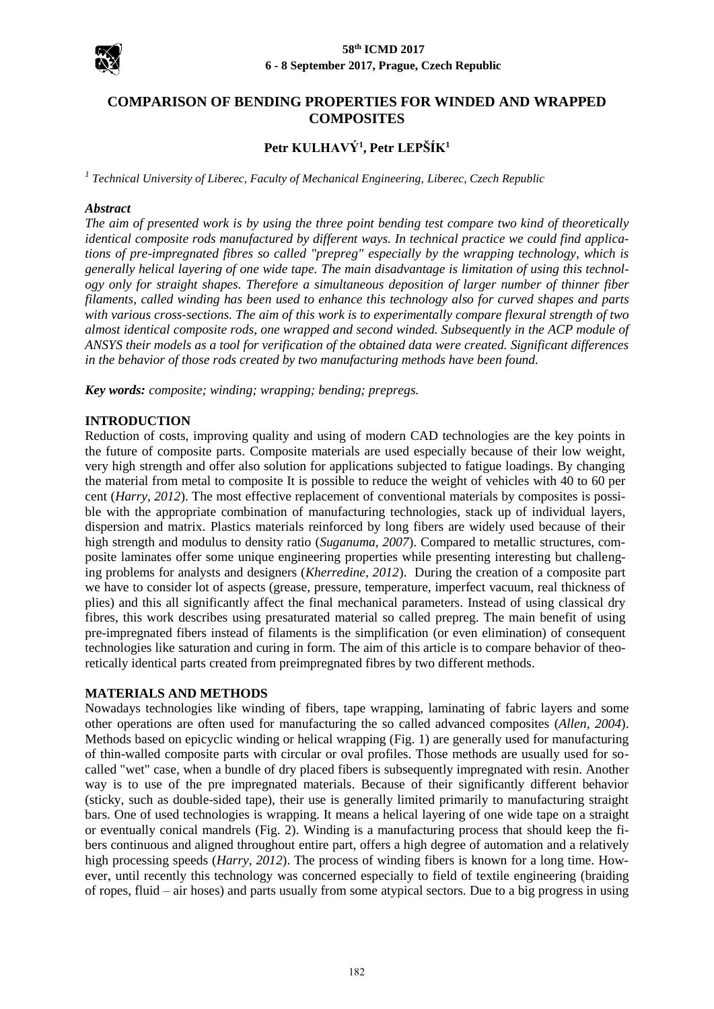

# **COMPARISON OF BENDING PROPERTIES FOR WINDED AND WRAPPED COMPOSITES**

# **Petr KULHAVÝ<sup>1</sup> , Petr LEPŠÍK<sup>1</sup>**

*1 Technical University of Liberec, Faculty of Mechanical Engineering, Liberec, Czech Republic*

#### *Abstract*

*The aim of presented work is by using the three point bending test compare two kind of theoretically identical composite rods manufactured by different ways. In technical practice we could find applications of pre-impregnated fibres so called "prepreg" especially by the wrapping technology, which is generally helical layering of one wide tape. The main disadvantage is limitation of using this technology only for straight shapes. Therefore a simultaneous deposition of larger number of thinner fiber filaments, called winding has been used to enhance this technology also for curved shapes and parts with various cross-sections. The aim of this work is to experimentally compare flexural strength of two almost identical composite rods, one wrapped and second winded. Subsequently in the ACP module of ANSYS their models as a tool for verification of the obtained data were created. Significant differences in the behavior of those rods created by two manufacturing methods have been found.*

*Key words: composite; winding; wrapping; bending; prepregs.*

## **INTRODUCTION**

Reduction of costs, improving quality and using of modern CAD technologies are the key points in the future of composite parts. Composite materials are used especially because of their low weight, very high strength and offer also solution for applications subjected to fatigue loadings. By changing the material from metal to composite It is possible to reduce the weight of vehicles with 40 to 60 per cent (*Harry, 2012*). The most effective replacement of conventional materials by composites is possible with the appropriate combination of manufacturing technologies, stack up of individual layers, dispersion and matrix. Plastics materials reinforced by long fibers are widely used because of their high strength and modulus to density ratio (*Suganuma, 2007*). Compared to metallic structures, composite laminates offer some unique engineering properties while presenting interesting but challenging problems for analysts and designers (*Kherredine, 2012*). During the creation of a composite part we have to consider lot of aspects (grease, pressure, temperature, imperfect vacuum, real thickness of plies) and this all significantly affect the final mechanical parameters. Instead of using classical dry fibres, this work describes using presaturated material so called prepreg. The main benefit of using pre-impregnated fibers instead of filaments is the simplification (or even elimination) of consequent technologies like saturation and curing in form. The aim of this article is to compare behavior of theoretically identical parts created from preimpregnated fibres by two different methods.

#### **MATERIALS AND METHODS**

Nowadays technologies like winding of fibers, tape wrapping, laminating of fabric layers and some other operations are often used for manufacturing the so called advanced composites (*Allen, 2004*). Methods based on epicyclic winding or helical wrapping (Fig. 1) are generally used for manufacturing of thin-walled composite parts with circular or oval profiles. Those methods are usually used for socalled "wet" case, when a bundle of dry placed fibers is subsequently impregnated with resin. Another way is to use of the pre impregnated materials. Because of their significantly different behavior (sticky, such as double-sided tape), their use is generally limited primarily to manufacturing straight bars. One of used technologies is wrapping. It means a helical layering of one wide tape on a straight or eventually conical mandrels (Fig. 2). Winding is a manufacturing process that should keep the fibers continuous and aligned throughout entire part, offers a high degree of automation and a relatively high processing speeds (*Harry, 2012*). The process of winding fibers is known for a long time. However, until recently this technology was concerned especially to field of textile engineering (braiding of ropes, fluid – air hoses) and parts usually from some atypical sectors. Due to a big progress in using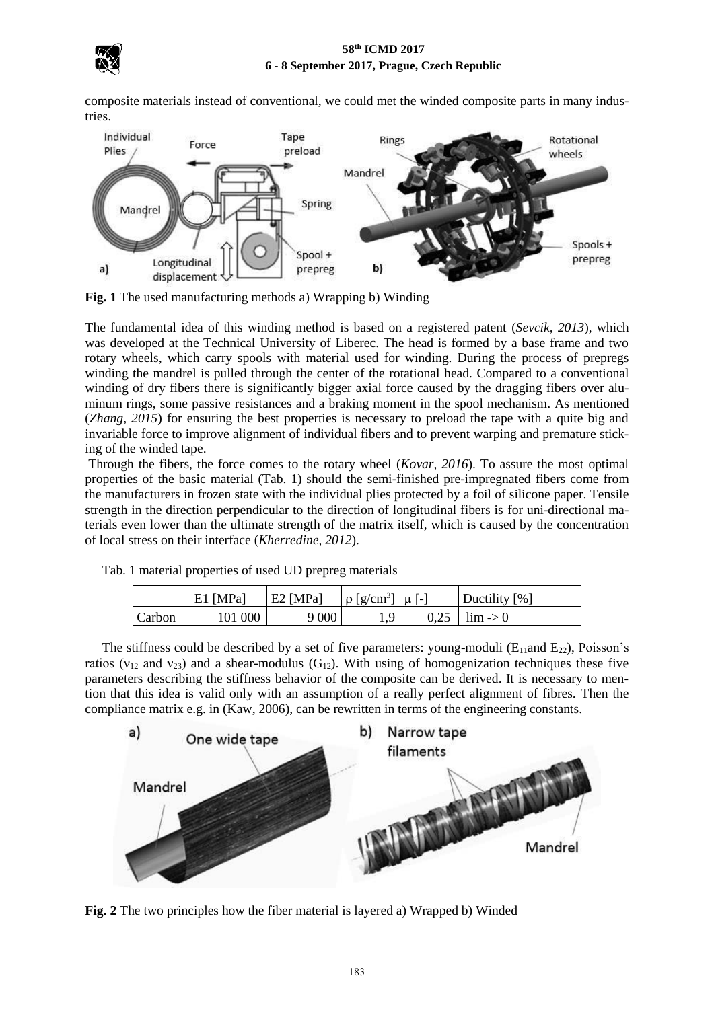

composite materials instead of conventional, we could met the winded composite parts in many industries.



**Fig. 1** The used manufacturing methods a) Wrapping b) Winding

The fundamental idea of this winding method is based on a registered patent (*Sevcik, 2013*), which was developed at the Technical University of Liberec. The head is formed by a base frame and two rotary wheels, which carry spools with material used for winding. During the process of prepregs winding the mandrel is pulled through the center of the rotational head. Compared to a conventional winding of dry fibers there is significantly bigger axial force caused by the dragging fibers over aluminum rings, some passive resistances and a braking moment in the spool mechanism. As mentioned (*Zhang, 2015*) for ensuring the best properties is necessary to preload the tape with a quite big and invariable force to improve alignment of individual fibers and to prevent warping and premature sticking of the winded tape.

Through the fibers, the force comes to the rotary wheel (*Kovar, 2016*). To assure the most optimal properties of the basic material (Tab. 1) should the semi-finished pre-impregnated fibers come from the manufacturers in frozen state with the individual plies protected by a foil of silicone paper. Tensile strength in the direction perpendicular to the direction of longitudinal fibers is for uni-directional materials even lower than the ultimate strength of the matrix itself, which is caused by the concentration of local stress on their interface (*Kherredine, 2012*).

|  | Tab. 1 material properties of used UD prepreg materials |  |  |
|--|---------------------------------------------------------|--|--|
|  |                                                         |  |  |

|        | $E1$ [MPa] | E2 [MPa] | $\log \left[\text{g/cm}^3\right] \mid \mu \mid$ -1 | Ductility [%]         |
|--------|------------|----------|----------------------------------------------------|-----------------------|
| Carbon | 101 000    | 9000     | $\Omega$                                           | $0.25$   lim $\geq 0$ |

The stiffness could be described by a set of five parameters: young-moduli ( $E_{11}$ and  $E_{22}$ ), Poisson's ratios ( $v_{12}$  and  $v_{23}$ ) and a shear-modulus (G<sub>12</sub>). With using of homogenization techniques these five parameters describing the stiffness behavior of the composite can be derived. It is necessary to mention that this idea is valid only with an assumption of a really perfect alignment of fibres. Then the compliance matrix e.g. in (Kaw, 2006), can be rewritten in terms of the engineering constants.



**Fig. 2** The two principles how the fiber material is layered a) Wrapped b) Winded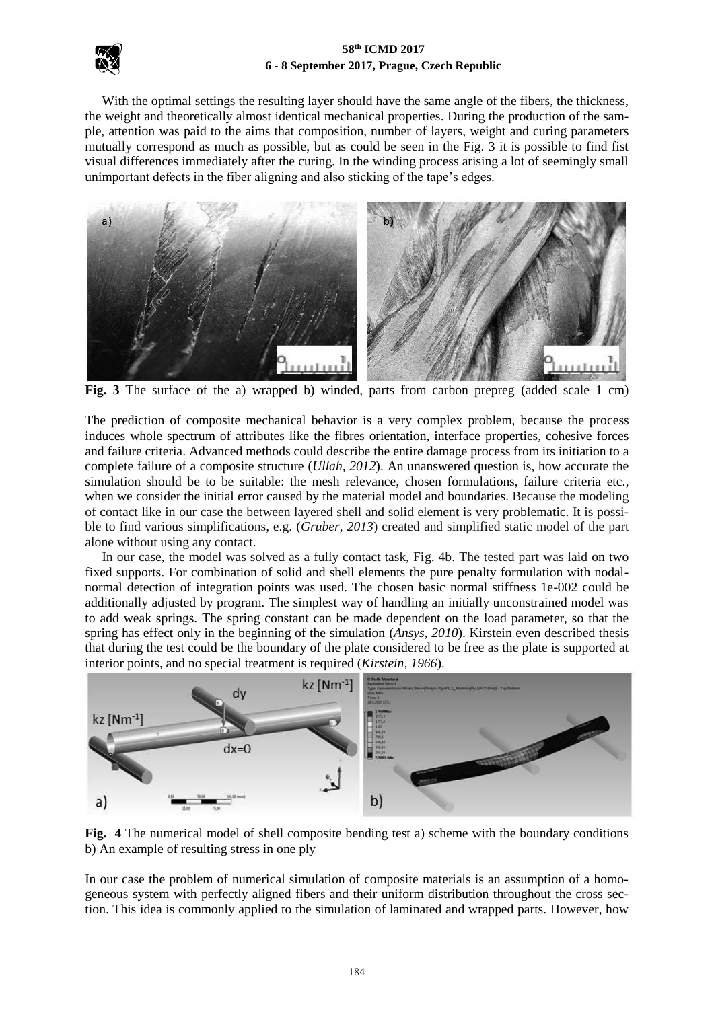

With the optimal settings the resulting layer should have the same angle of the fibers, the thickness, the weight and theoretically almost identical mechanical properties. During the production of the sample, attention was paid to the aims that composition, number of layers, weight and curing parameters mutually correspond as much as possible, but as could be seen in the Fig. 3 it is possible to find fist visual differences immediately after the curing. In the winding process arising a lot of seemingly small unimportant defects in the fiber aligning and also sticking of the tape's edges.



**Fig. 3** The surface of the a) wrapped b) winded, parts from carbon prepreg (added scale 1 cm)

The prediction of composite mechanical behavior is a very complex problem, because the process induces whole spectrum of attributes like the fibres orientation, interface properties, cohesive forces and failure criteria. Advanced methods could describe the entire damage process from its initiation to a complete failure of a composite structure (*Ullah, 2012*). An unanswered question is, how accurate the simulation should be to be suitable: the mesh relevance, chosen formulations, failure criteria etc., when we consider the initial error caused by the material model and boundaries. Because the modeling of contact like in our case the between layered shell and solid element is very problematic. It is possible to find various simplifications, e.g. (*Gruber, 2013*) created and simplified static model of the part alone without using any contact.

In our case, the model was solved as a fully contact task, Fig. 4b. The tested part was laid on two fixed supports. For combination of solid and shell elements the pure penalty formulation with nodalnormal detection of integration points was used. The chosen basic normal stiffness 1e-002 could be additionally adjusted by program. The simplest way of handling an initially unconstrained model was to add weak springs. The spring constant can be made dependent on the load parameter, so that the spring has effect only in the beginning of the simulation (*Ansys, 2010*). Kirstein even described thesis that during the test could be the boundary of the plate considered to be free as the plate is supported at interior points, and no special treatment is required (*Kirstein, 1966*).



**Fig. 4** The numerical model of shell composite bending test a) scheme with the boundary conditions b) An example of resulting stress in one ply

In our case the problem of numerical simulation of composite materials is an assumption of a homogeneous system with perfectly aligned fibers and their uniform distribution throughout the cross section. This idea is commonly applied to the simulation of laminated and wrapped parts. However, how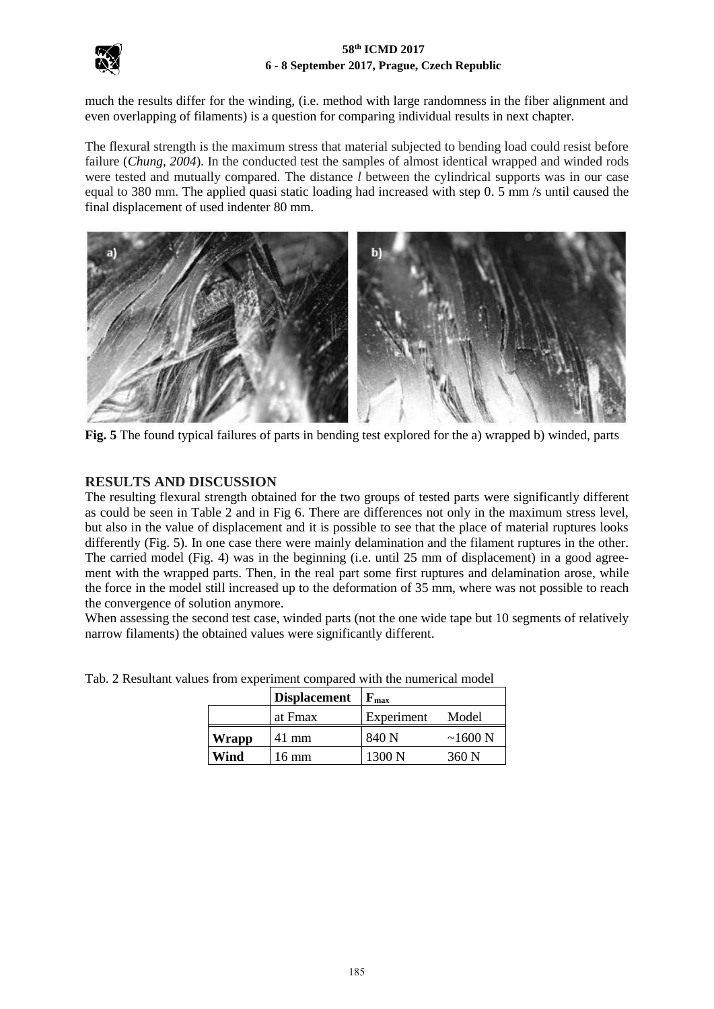



much the results differ for the winding, (i.e. method with large randomness in the fiber alignment and even overlapping of filaments) is a question for comparing individual results in next chapter.

The flexural strength is the maximum stress that material subjected to bending load could resist before failure (*Chung, 2004*). In the conducted test the samples of almost identical wrapped and winded rods were tested and mutually compared. The distance *l* between the cylindrical supports was in our case equal to 380 mm. The applied quasi static loading had increased with step 0. 5 mm /s until caused the final displacement of used indenter 80 mm.



**Fig. 5** The found typical failures of parts in bending test explored for the a) wrapped b) winded, parts

## **RESULTS AND DISCUSSION**

The resulting flexural strength obtained for the two groups of tested parts were significantly different as could be seen in Table 2 and in Fig 6. There are differences not only in the maximum stress level, but also in the value of displacement and it is possible to see that the place of material ruptures looks differently (Fig. 5). In one case there were mainly delamination and the filament ruptures in the other. The carried model (Fig. 4) was in the beginning (i.e. until 25 mm of displacement) in a good agreement with the wrapped parts. Then, in the real part some first ruptures and delamination arose, while the force in the model still increased up to the deformation of 35 mm, where was not possible to reach the convergence of solution anymore.

When assessing the second test case, winded parts (not the one wide tape but 10 segments of relatively narrow filaments) the obtained values were significantly different.

|       | <b>Displacement</b> | $\mathbf{F}_{\text{max}}$ |               |
|-------|---------------------|---------------------------|---------------|
|       | at Fmax             | Experiment                | Model         |
| Wrapp | 41 mm               | 840 N                     | $\sim$ 1600 N |
| Wind  | 16 mm               | 1300 N                    | 360 N         |

Tab. 2 Resultant values from experiment compared with the numerical model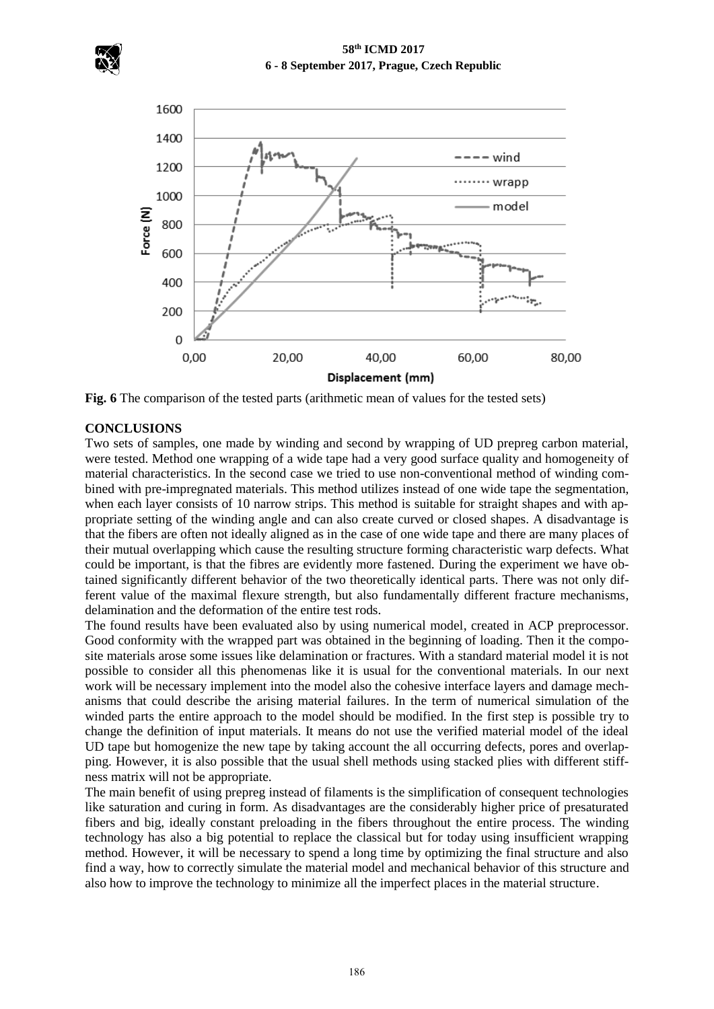



**Fig. 6** The comparison of the tested parts (arithmetic mean of values for the tested sets)

## **CONCLUSIONS**

Two sets of samples, one made by winding and second by wrapping of UD prepreg carbon material, were tested. Method one wrapping of a wide tape had a very good surface quality and homogeneity of material characteristics. In the second case we tried to use non-conventional method of winding combined with pre-impregnated materials. This method utilizes instead of one wide tape the segmentation, when each layer consists of 10 narrow strips. This method is suitable for straight shapes and with appropriate setting of the winding angle and can also create curved or closed shapes. A disadvantage is that the fibers are often not ideally aligned as in the case of one wide tape and there are many places of their mutual overlapping which cause the resulting structure forming characteristic warp defects. What could be important, is that the fibres are evidently more fastened. During the experiment we have obtained significantly different behavior of the two theoretically identical parts. There was not only different value of the maximal flexure strength, but also fundamentally different fracture mechanisms, delamination and the deformation of the entire test rods.

The found results have been evaluated also by using numerical model, created in ACP preprocessor. Good conformity with the wrapped part was obtained in the beginning of loading. Then it the composite materials arose some issues like delamination or fractures. With a standard material model it is not possible to consider all this phenomenas like it is usual for the conventional materials. In our next work will be necessary implement into the model also the cohesive interface layers and damage mechanisms that could describe the arising material failures. In the term of numerical simulation of the winded parts the entire approach to the model should be modified. In the first step is possible try to change the definition of input materials. It means do not use the verified material model of the ideal UD tape but homogenize the new tape by taking account the all occurring defects, pores and overlapping. However, it is also possible that the usual shell methods using stacked plies with different stiffness matrix will not be appropriate.

The main benefit of using prepreg instead of filaments is the simplification of consequent technologies like saturation and curing in form. As disadvantages are the considerably higher price of presaturated fibers and big, ideally constant preloading in the fibers throughout the entire process. The winding technology has also a big potential to replace the classical but for today using insufficient wrapping method. However, it will be necessary to spend a long time by optimizing the final structure and also find a way, how to correctly simulate the material model and mechanical behavior of this structure and also how to improve the technology to minimize all the imperfect places in the material structure.